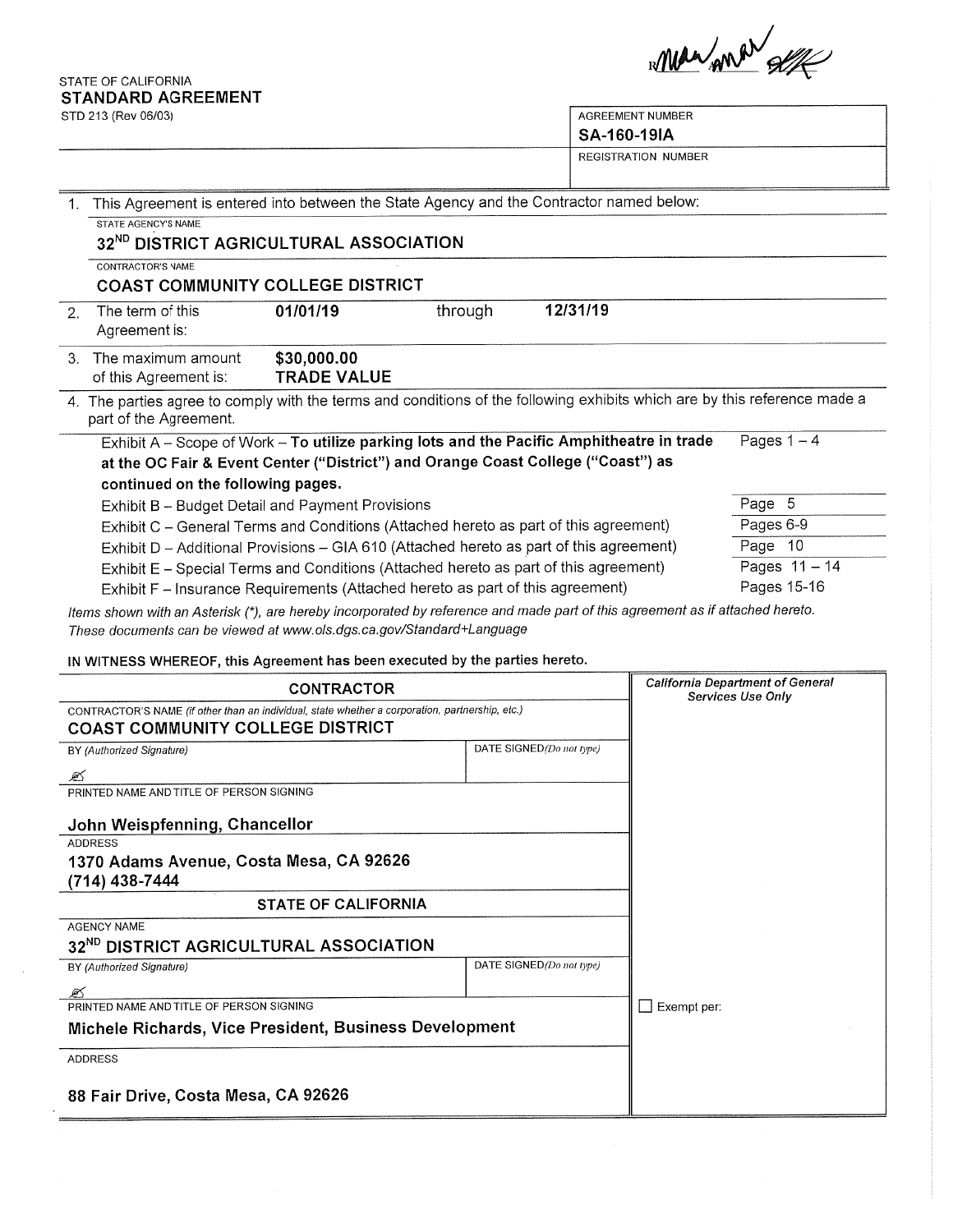STATE OF CALIFORNIA **STANDARD AGREEMENT** 

STD 213 (Rev. 06/03)

 $\mathcal{A}$ 

Man And Self

٦

| STD 213 (Rev 06/03)<br><b>AGREEMENT NUMBER</b><br>SA-160-19IA                                                                           |                                                                                                                                                                                                                                     |                                   |         |                                                                                                                           |             |  |  |
|-----------------------------------------------------------------------------------------------------------------------------------------|-------------------------------------------------------------------------------------------------------------------------------------------------------------------------------------------------------------------------------------|-----------------------------------|---------|---------------------------------------------------------------------------------------------------------------------------|-------------|--|--|
|                                                                                                                                         |                                                                                                                                                                                                                                     |                                   |         | <b>REGISTRATION NUMBER</b>                                                                                                |             |  |  |
| This Agreement is entered into between the State Agency and the Contractor named below:<br>$\mathbf{1}$ .<br><b>STATE AGENCY'S NAME</b> |                                                                                                                                                                                                                                     |                                   |         |                                                                                                                           |             |  |  |
|                                                                                                                                         | 32 <sup>ND</sup> DISTRICT AGRICULTURAL ASSOCIATION                                                                                                                                                                                  |                                   |         |                                                                                                                           |             |  |  |
|                                                                                                                                         | CONTRACTOR'S NAME<br><b>COAST COMMUNITY COLLEGE DISTRICT</b>                                                                                                                                                                        |                                   |         |                                                                                                                           |             |  |  |
| 2.                                                                                                                                      | The term of this<br>Agreement is:                                                                                                                                                                                                   | 01/01/19                          | through | 12/31/19                                                                                                                  |             |  |  |
| $3_{-}$                                                                                                                                 | The maximum amount<br>of this Agreement is:                                                                                                                                                                                         | \$30,000.00<br><b>TRADE VALUE</b> |         |                                                                                                                           |             |  |  |
|                                                                                                                                         | part of the Agreement.                                                                                                                                                                                                              |                                   |         | 4. The parties agree to comply with the terms and conditions of the following exhibits which are by this reference made a |             |  |  |
|                                                                                                                                         | Pages $1 - 4$<br>Exhibit A - Scope of Work - To utilize parking lots and the Pacific Amphitheatre in trade<br>at the OC Fair & Event Center ("District") and Orange Coast College ("Coast") as<br>continued on the following pages. |                                   |         |                                                                                                                           |             |  |  |
|                                                                                                                                         | Exhibit B - Budget Detail and Payment Provisions                                                                                                                                                                                    |                                   |         |                                                                                                                           | Page 5      |  |  |
|                                                                                                                                         | Exhibit C - General Terms and Conditions (Attached hereto as part of this agreement)                                                                                                                                                |                                   |         |                                                                                                                           | Pages 6-9   |  |  |
|                                                                                                                                         | Exhibit D - Additional Provisions - GIA 610 (Attached hereto as part of this agreement)                                                                                                                                             | Page 10                           |         |                                                                                                                           |             |  |  |
|                                                                                                                                         | Exhibit E - Special Terms and Conditions (Attached hereto as part of this agreement)                                                                                                                                                | Pages 11 - 14                     |         |                                                                                                                           |             |  |  |
|                                                                                                                                         | Exhibit F - Insurance Requirements (Attached hereto as part of this agreement)                                                                                                                                                      |                                   |         |                                                                                                                           | Pages 15-16 |  |  |

Items shown with an Asterisk (\*), are hereby incorporated by reference and made part of this agreement as if attached hereto. These documents can be viewed at www.ols.dgs.ca.gov/Standard+Language

IN WITNESS WHEREOF, this Agreement has been executed by the parties hereto.

| <b>CONTRACTOR</b>                                                                                                                          | <b>California Department of General</b><br><b>Services Use Only</b> |  |
|--------------------------------------------------------------------------------------------------------------------------------------------|---------------------------------------------------------------------|--|
| CONTRACTOR'S NAME (if other than an individual, state whether a corporation, partnership, etc.)<br><b>COAST COMMUNITY COLLEGE DISTRICT</b> |                                                                     |  |
| BY (Authorized Signature)                                                                                                                  | DATE SIGNED(Do not type)                                            |  |
| ☞                                                                                                                                          |                                                                     |  |
| PRINTED NAME AND TITLE OF PERSON SIGNING                                                                                                   |                                                                     |  |
| John Weispfenning, Chancellor                                                                                                              |                                                                     |  |
| <b>ADDRESS</b>                                                                                                                             |                                                                     |  |
| 1370 Adams Avenue, Costa Mesa, CA 92626<br>(714) 438-7444                                                                                  |                                                                     |  |
| <b>STATE OF CALIFORNIA</b>                                                                                                                 |                                                                     |  |
| <b>AGENCY NAME</b>                                                                                                                         |                                                                     |  |
| 32 <sup>ND</sup> DISTRICT AGRICULTURAL ASSOCIATION                                                                                         |                                                                     |  |
| BY (Authorized Signature)                                                                                                                  | DATE SIGNED(Do not type)                                            |  |
|                                                                                                                                            |                                                                     |  |
| PRINTED NAME AND TITLE OF PERSON SIGNING                                                                                                   | Exempt per:                                                         |  |
| Michele Richards, Vice President, Business Development                                                                                     |                                                                     |  |
| <b>ADDRESS</b>                                                                                                                             |                                                                     |  |
| 88 Fair Drive, Costa Mesa, CA 92626                                                                                                        |                                                                     |  |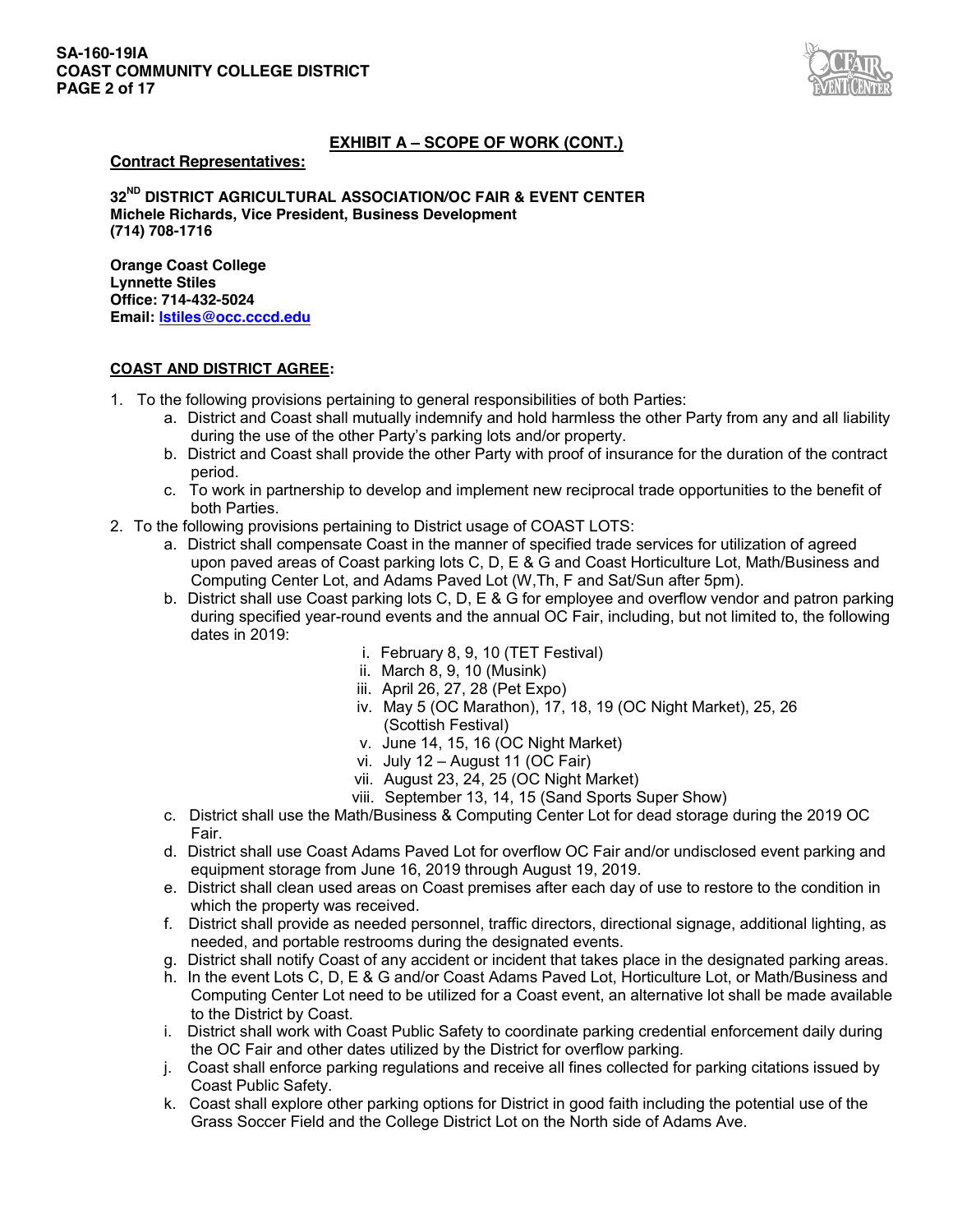### **SA-160-19IA COAST COMMUNITY COLLEGE DISTRICT PAGE 2 of 17**



# **EXHIBIT A – SCOPE OF WORK (CONT.)**

#### **Contract Representatives:**

**32ND DISTRICT AGRICULTURAL ASSOCIATION/OC FAIR & EVENT CENTER Michele Richards, Vice President, Business Development (714) 708-1716**

**Orange Coast College Lynnette Stiles Office: 714-432-5024 Email: lstiles@occ.cccd.edu**

### **COAST AND DISTRICT AGREE:**

- 1. To the following provisions pertaining to general responsibilities of both Parties:
	- a. District and Coast shall mutually indemnify and hold harmless the other Party from any and all liability during the use of the other Party's parking lots and/or property.
	- b. District and Coast shall provide the other Party with proof of insurance for the duration of the contract period.
	- c. To work in partnership to develop and implement new reciprocal trade opportunities to the benefit of both Parties.
- 2. To the following provisions pertaining to District usage of COAST LOTS:
	- a. District shall compensate Coast in the manner of specified trade services for utilization of agreed upon paved areas of Coast parking lots C, D, E & G and Coast Horticulture Lot, Math/Business and Computing Center Lot, and Adams Paved Lot (W,Th, F and Sat/Sun after 5pm).
	- b. District shall use Coast parking lots C, D, E & G for employee and overflow vendor and patron parking during specified year-round events and the annual OC Fair, including, but not limited to, the following dates in 2019:
		- i. February 8, 9, 10 (TET Festival)
		- ii. March 8, 9, 10 (Musink)
		- iii. April 26, 27, 28 (Pet Expo)
		- iv. May 5 (OC Marathon), 17, 18, 19 (OC Night Market), 25, 26 (Scottish Festival)
		- v. June 14, 15, 16 (OC Night Market)
		- vi. July 12 August 11 (OC Fair)
		- vii. August 23, 24, 25 (OC Night Market)
		- viii. September 13, 14, 15 (Sand Sports Super Show)
	- c. District shall use the Math/Business & Computing Center Lot for dead storage during the 2019 OC Fair.
	- d. District shall use Coast Adams Paved Lot for overflow OC Fair and/or undisclosed event parking and equipment storage from June 16, 2019 through August 19, 2019.
	- e. District shall clean used areas on Coast premises after each day of use to restore to the condition in which the property was received.
	- f. District shall provide as needed personnel, traffic directors, directional signage, additional lighting, as needed, and portable restrooms during the designated events.
	- g. District shall notify Coast of any accident or incident that takes place in the designated parking areas.
	- h. In the event Lots C, D, E & G and/or Coast Adams Paved Lot, Horticulture Lot, or Math/Business and Computing Center Lot need to be utilized for a Coast event, an alternative lot shall be made available to the District by Coast.
	- i. District shall work with Coast Public Safety to coordinate parking credential enforcement daily during the OC Fair and other dates utilized by the District for overflow parking.
	- j. Coast shall enforce parking regulations and receive all fines collected for parking citations issued by Coast Public Safety.
	- k. Coast shall explore other parking options for District in good faith including the potential use of the Grass Soccer Field and the College District Lot on the North side of Adams Ave.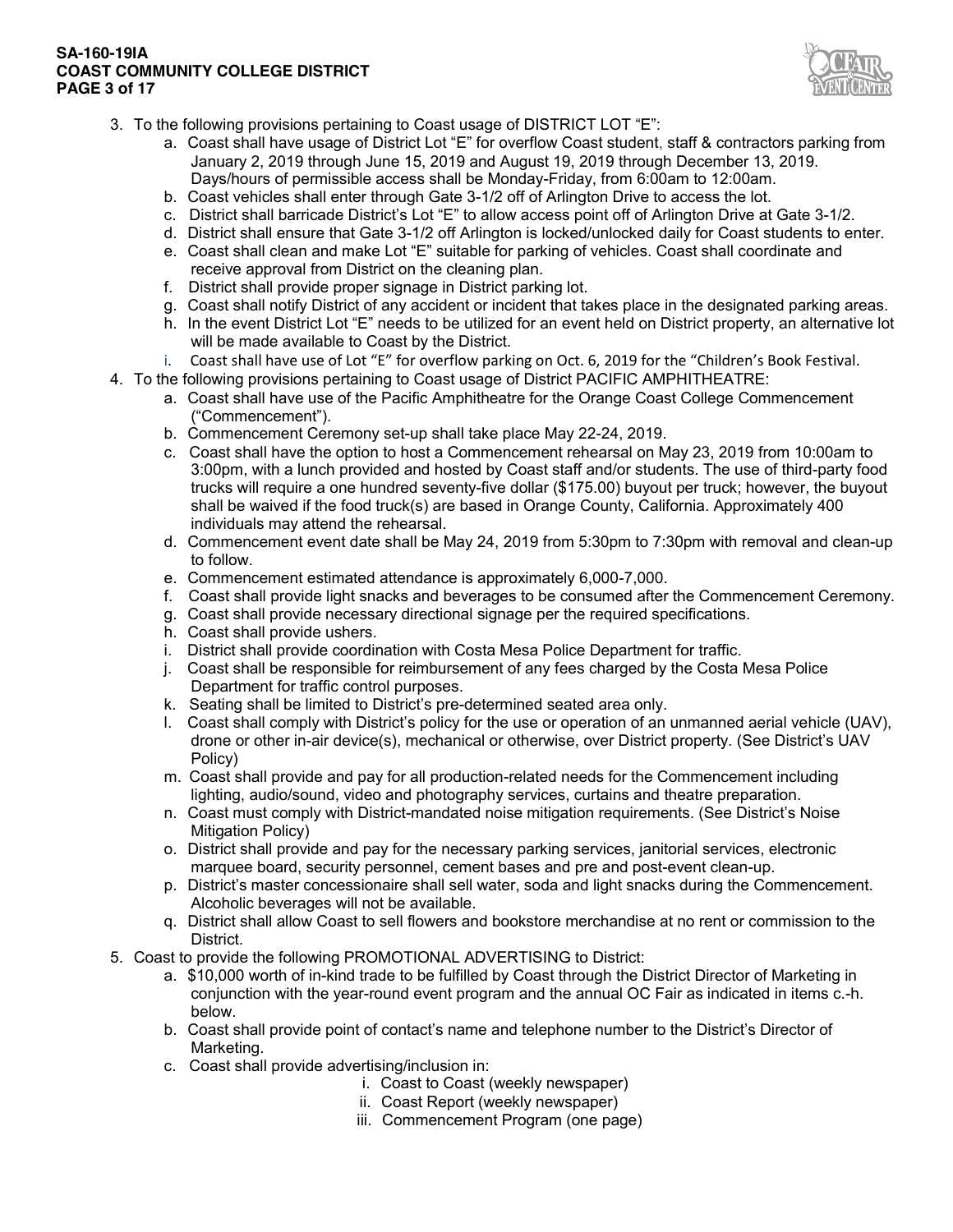**SA-160-19IA COAST COMMUNITY COLLEGE DISTRICT PAGE 3 of 17**



- 3. To the following provisions pertaining to Coast usage of DISTRICT LOT "E":
	- a. Coast shall have usage of District Lot "E" for overflow Coast student, staff & contractors parking from January 2, 2019 through June 15, 2019 and August 19, 2019 through December 13, 2019. Days/hours of permissible access shall be Monday-Friday, from 6:00am to 12:00am.
	- b. Coast vehicles shall enter through Gate 3-1/2 off of Arlington Drive to access the lot.
	- c. District shall barricade District's Lot "E" to allow access point off of Arlington Drive at Gate 3-1/2.
	- d. District shall ensure that Gate 3-1/2 off Arlington is locked/unlocked daily for Coast students to enter.
	- e. Coast shall clean and make Lot "E" suitable for parking of vehicles. Coast shall coordinate and receive approval from District on the cleaning plan.
	- f. District shall provide proper signage in District parking lot.
	- g. Coast shall notify District of any accident or incident that takes place in the designated parking areas.
	- h. In the event District Lot "E" needs to be utilized for an event held on District property, an alternative lot will be made available to Coast by the District.
	- i. Coast shall have use of Lot "E" for overflow parking on Oct. 6, 2019 for the "Children's Book Festival.
- 4. To the following provisions pertaining to Coast usage of District PACIFIC AMPHITHEATRE:
	- a. Coast shall have use of the Pacific Amphitheatre for the Orange Coast College Commencement ("Commencement").
	- b. Commencement Ceremony set-up shall take place May 22-24, 2019.
	- c. Coast shall have the option to host a Commencement rehearsal on May 23, 2019 from 10:00am to 3:00pm, with a lunch provided and hosted by Coast staff and/or students. The use of third-party food trucks will require a one hundred seventy-five dollar (\$175.00) buyout per truck; however, the buyout shall be waived if the food truck(s) are based in Orange County, California. Approximately 400 individuals may attend the rehearsal.
	- d. Commencement event date shall be May 24, 2019 from 5:30pm to 7:30pm with removal and clean-up to follow.
	- e. Commencement estimated attendance is approximately 6,000-7,000.
	- f. Coast shall provide light snacks and beverages to be consumed after the Commencement Ceremony.
	- g. Coast shall provide necessary directional signage per the required specifications.
	- h. Coast shall provide ushers.
	- i. District shall provide coordination with Costa Mesa Police Department for traffic.
	- j. Coast shall be responsible for reimbursement of any fees charged by the Costa Mesa Police Department for traffic control purposes.
	- k. Seating shall be limited to District's pre-determined seated area only.
	- l. Coast shall comply with District's policy for the use or operation of an unmanned aerial vehicle (UAV), drone or other in-air device(s), mechanical or otherwise, over District property. (See District's UAV Policy)
	- m. Coast shall provide and pay for all production-related needs for the Commencement including lighting, audio/sound, video and photography services, curtains and theatre preparation.
	- n. Coast must comply with District-mandated noise mitigation requirements. (See District's Noise Mitigation Policy)
	- o. District shall provide and pay for the necessary parking services, janitorial services, electronic marquee board, security personnel, cement bases and pre and post-event clean-up.
	- p. District's master concessionaire shall sell water, soda and light snacks during the Commencement. Alcoholic beverages will not be available.
	- q. District shall allow Coast to sell flowers and bookstore merchandise at no rent or commission to the District.
- 5. Coast to provide the following PROMOTIONAL ADVERTISING to District:
	- a. \$10,000 worth of in-kind trade to be fulfilled by Coast through the District Director of Marketing in conjunction with the year-round event program and the annual OC Fair as indicated in items c.-h. below.
	- b. Coast shall provide point of contact's name and telephone number to the District's Director of Marketing.
	- c. Coast shall provide advertising/inclusion in:
		- i. Coast to Coast (weekly newspaper)
		- ii. Coast Report (weekly newspaper)
		- iii. Commencement Program (one page)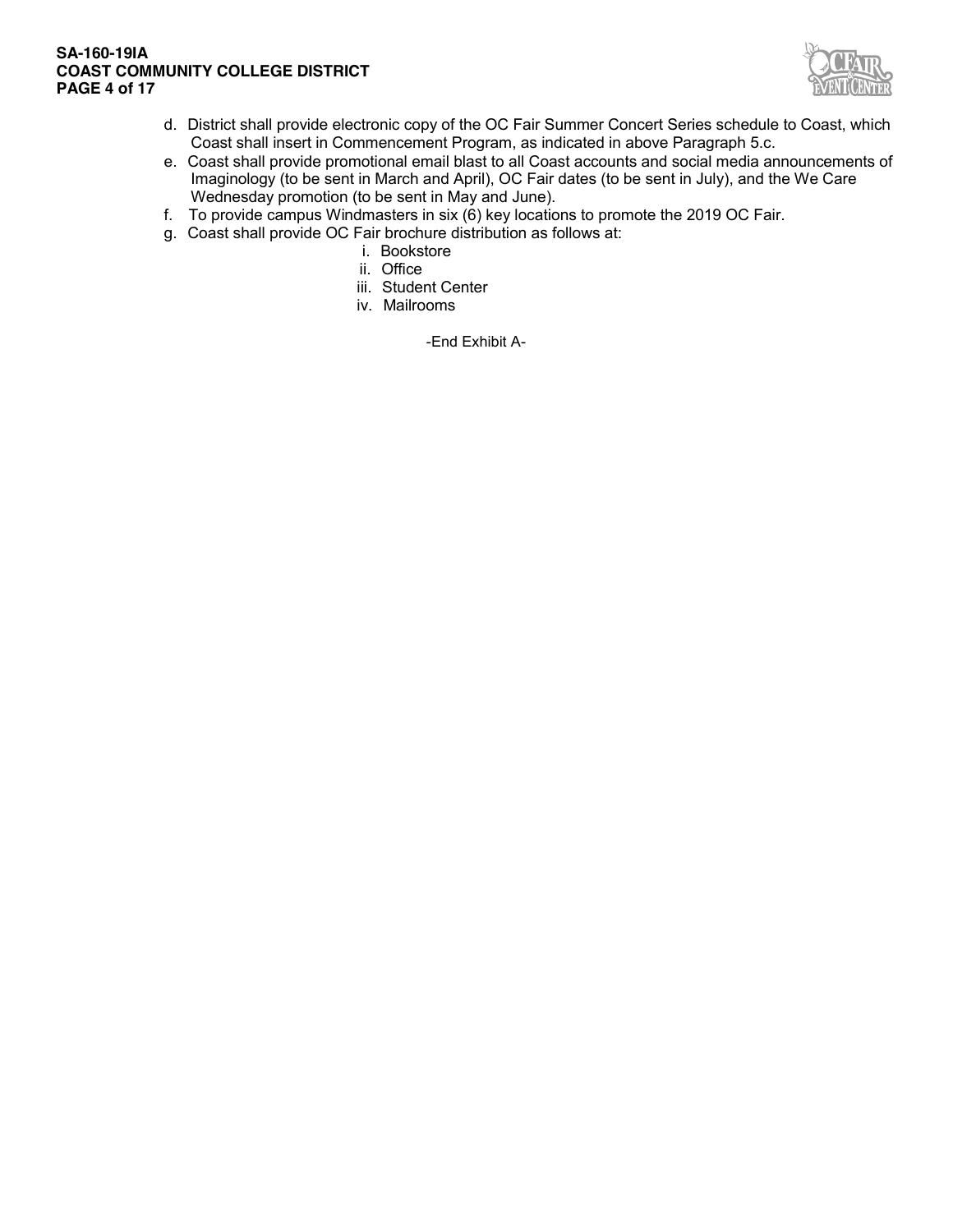### **SA-160-19IA COAST COMMUNITY COLLEGE DISTRICT PAGE 4 of 17**



- d. District shall provide electronic copy of the OC Fair Summer Concert Series schedule to Coast, which Coast shall insert in Commencement Program, as indicated in above Paragraph 5.c.
- e. Coast shall provide promotional email blast to all Coast accounts and social media announcements of Imaginology (to be sent in March and April), OC Fair dates (to be sent in July), and the We Care Wednesday promotion (to be sent in May and June).
- f. To provide campus Windmasters in six (6) key locations to promote the 2019 OC Fair.
- g. Coast shall provide OC Fair brochure distribution as follows at:
	- i. Bookstore
	- ii. Office
	- iii. Student Center
	- iv. Mailrooms

-End Exhibit A-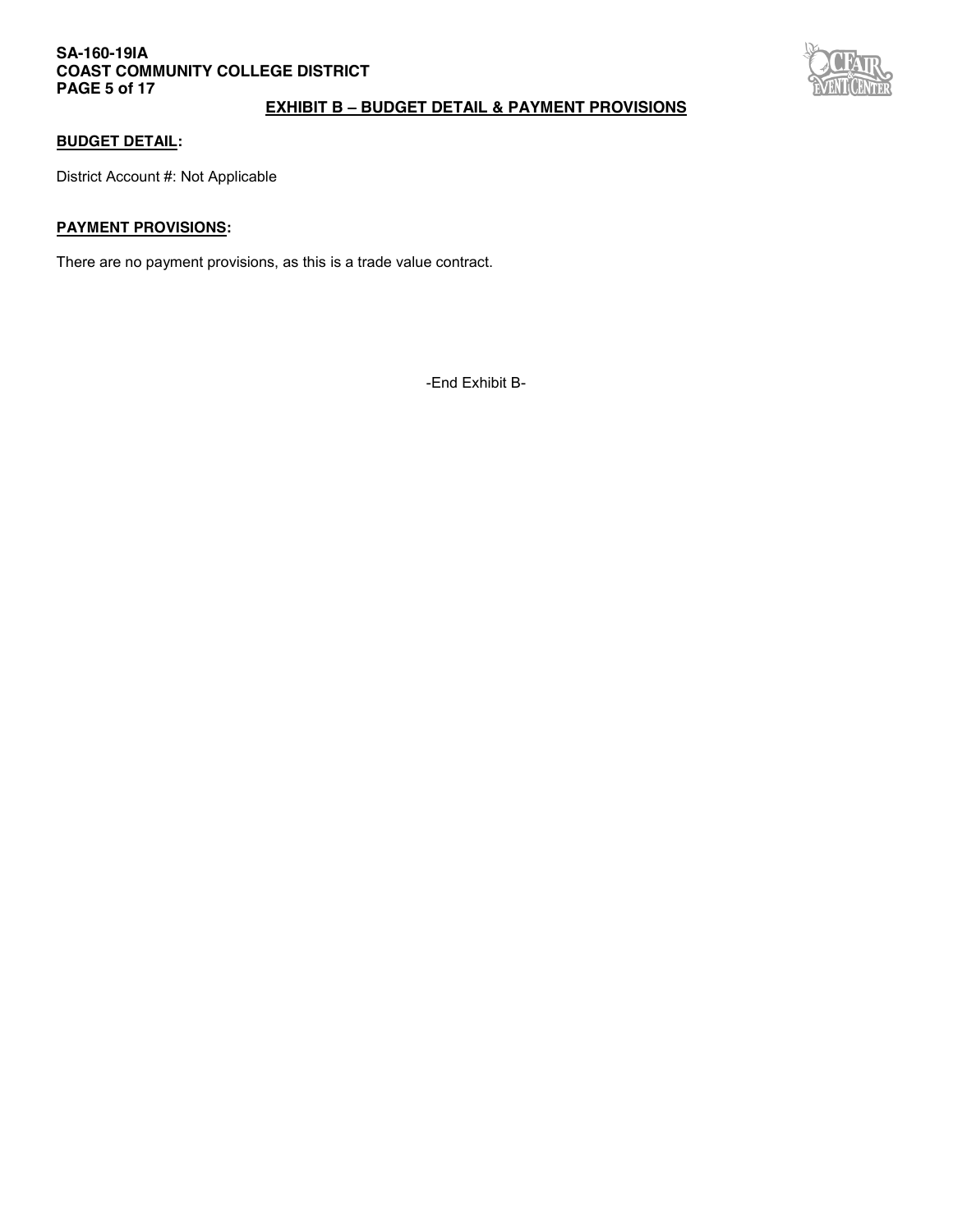## **SA-160-19IA COAST COMMUNITY COLLEGE DISTRICT PAGE 5 of 17**



# **EXHIBIT B – BUDGET DETAIL & PAYMENT PROVISIONS**

### **BUDGET DETAIL:**

District Account #: Not Applicable

### **PAYMENT PROVISIONS:**

There are no payment provisions, as this is a trade value contract.

-End Exhibit B-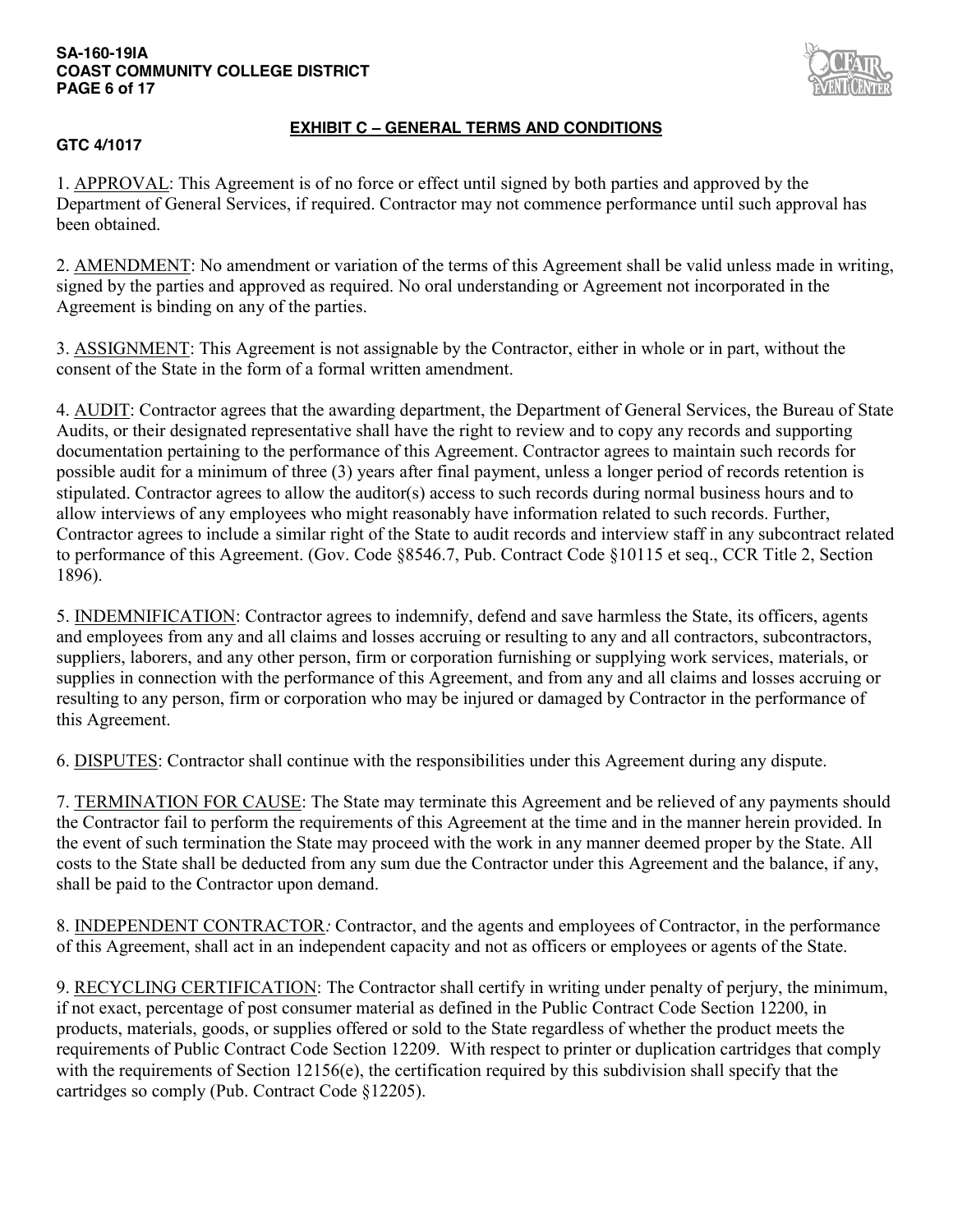### **SA-160-19IA COAST COMMUNITY COLLEGE DISTRICT PAGE 6 of 17**



# **GTC 4/1017**

# **EXHIBIT C – GENERAL TERMS AND CONDITIONS**

1. APPROVAL: This Agreement is of no force or effect until signed by both parties and approved by the Department of General Services, if required. Contractor may not commence performance until such approval has been obtained.

2. AMENDMENT: No amendment or variation of the terms of this Agreement shall be valid unless made in writing, signed by the parties and approved as required. No oral understanding or Agreement not incorporated in the Agreement is binding on any of the parties.

3. ASSIGNMENT: This Agreement is not assignable by the Contractor, either in whole or in part, without the consent of the State in the form of a formal written amendment.

4. AUDIT: Contractor agrees that the awarding department, the Department of General Services, the Bureau of State Audits, or their designated representative shall have the right to review and to copy any records and supporting documentation pertaining to the performance of this Agreement. Contractor agrees to maintain such records for possible audit for a minimum of three (3) years after final payment, unless a longer period of records retention is stipulated. Contractor agrees to allow the auditor(s) access to such records during normal business hours and to allow interviews of any employees who might reasonably have information related to such records. Further, Contractor agrees to include a similar right of the State to audit records and interview staff in any subcontract related to performance of this Agreement. (Gov. Code §8546.7, Pub. Contract Code §10115 et seq., CCR Title 2, Section 1896).

5. INDEMNIFICATION: Contractor agrees to indemnify, defend and save harmless the State, its officers, agents and employees from any and all claims and losses accruing or resulting to any and all contractors, subcontractors, suppliers, laborers, and any other person, firm or corporation furnishing or supplying work services, materials, or supplies in connection with the performance of this Agreement, and from any and all claims and losses accruing or resulting to any person, firm or corporation who may be injured or damaged by Contractor in the performance of this Agreement.

6. DISPUTES: Contractor shall continue with the responsibilities under this Agreement during any dispute.

7. TERMINATION FOR CAUSE: The State may terminate this Agreement and be relieved of any payments should the Contractor fail to perform the requirements of this Agreement at the time and in the manner herein provided. In the event of such termination the State may proceed with the work in any manner deemed proper by the State. All costs to the State shall be deducted from any sum due the Contractor under this Agreement and the balance, if any, shall be paid to the Contractor upon demand.

8. INDEPENDENT CONTRACTOR*:* Contractor, and the agents and employees of Contractor, in the performance of this Agreement, shall act in an independent capacity and not as officers or employees or agents of the State.

9. RECYCLING CERTIFICATION: The Contractor shall certify in writing under penalty of perjury, the minimum, if not exact, percentage of post consumer material as defined in the Public Contract Code Section 12200, in products, materials, goods, or supplies offered or sold to the State regardless of whether the product meets the requirements of Public Contract Code Section 12209. With respect to printer or duplication cartridges that comply with the requirements of Section 12156(e), the certification required by this subdivision shall specify that the cartridges so comply (Pub. Contract Code §12205).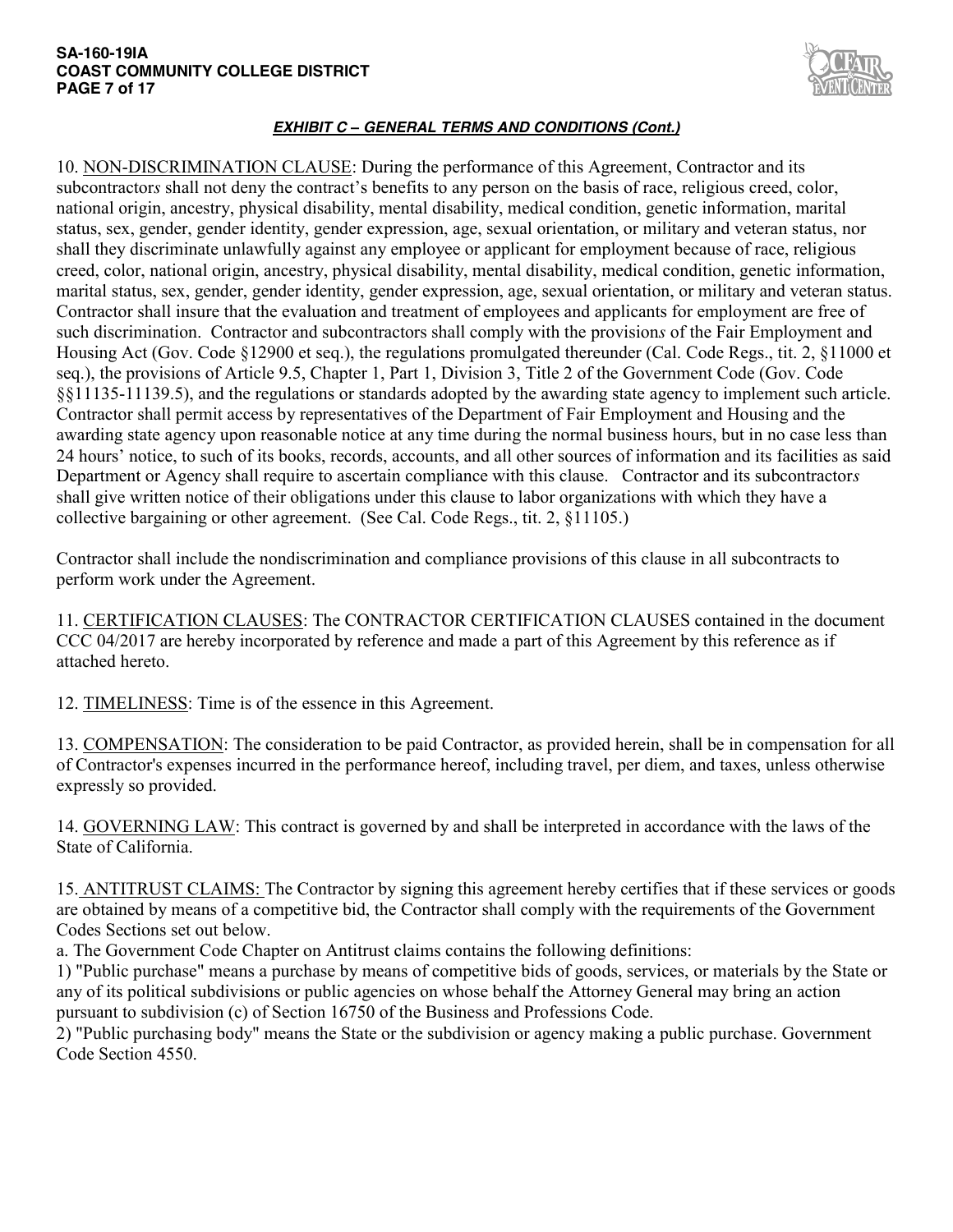#### **SA-160-19IA COAST COMMUNITY COLLEGE DISTRICT PAGE 7 of 17**



# *EXHIBIT C – GENERAL TERMS AND CONDITIONS (Cont.)*

10. NON-DISCRIMINATION CLAUSE: During the performance of this Agreement, Contractor and its subcontractors shall not deny the contract's benefits to any person on the basis of race, religious creed, color, national origin, ancestry, physical disability, mental disability, medical condition, genetic information, marital status, sex, gender, gender identity, gender expression, age, sexual orientation, or military and veteran status, nor shall they discriminate unlawfully against any employee or applicant for employment because of race, religious creed, color, national origin, ancestry, physical disability, mental disability, medical condition, genetic information, marital status, sex, gender, gender identity, gender expression, age, sexual orientation, or military and veteran status. Contractor shall insure that the evaluation and treatment of employees and applicants for employment are free of such discrimination. Contractor and subcontractors shall comply with the provision*s* of the Fair Employment and Housing Act (Gov. Code §12900 et seq.), the regulations promulgated thereunder (Cal. Code Regs., tit. 2, §11000 et seq.), the provisions of Article 9.5, Chapter 1, Part 1, Division 3, Title 2 of the Government Code (Gov. Code §§11135-11139.5), and the regulations or standards adopted by the awarding state agency to implement such article. Contractor shall permit access by representatives of the Department of Fair Employment and Housing and the awarding state agency upon reasonable notice at any time during the normal business hours, but in no case less than 24 hours' notice, to such of its books, records, accounts, and all other sources of information and its facilities as said Department or Agency shall require to ascertain compliance with this clause. Contractor and its subcontractor*s* shall give written notice of their obligations under this clause to labor organizations with which they have a collective bargaining or other agreement. (See Cal. Code Regs., tit. 2, §11105.)

Contractor shall include the nondiscrimination and compliance provisions of this clause in all subcontracts to perform work under the Agreement.

11. CERTIFICATION CLAUSES: The CONTRACTOR CERTIFICATION CLAUSES contained in the document CCC 04/2017 are hereby incorporated by reference and made a part of this Agreement by this reference as if attached hereto.

12. TIMELINESS: Time is of the essence in this Agreement.

13. COMPENSATION: The consideration to be paid Contractor, as provided herein, shall be in compensation for all of Contractor's expenses incurred in the performance hereof, including travel, per diem, and taxes, unless otherwise expressly so provided.

14. GOVERNING LAW: This contract is governed by and shall be interpreted in accordance with the laws of the State of California.

15. ANTITRUST CLAIMS: The Contractor by signing this agreement hereby certifies that if these services or goods are obtained by means of a competitive bid, the Contractor shall comply with the requirements of the Government Codes Sections set out below.

a. The Government Code Chapter on Antitrust claims contains the following definitions:

1) "Public purchase" means a purchase by means of competitive bids of goods, services, or materials by the State or any of its political subdivisions or public agencies on whose behalf the Attorney General may bring an action pursuant to subdivision (c) of Section 16750 of the Business and Professions Code.

2) "Public purchasing body" means the State or the subdivision or agency making a public purchase. Government Code Section 4550.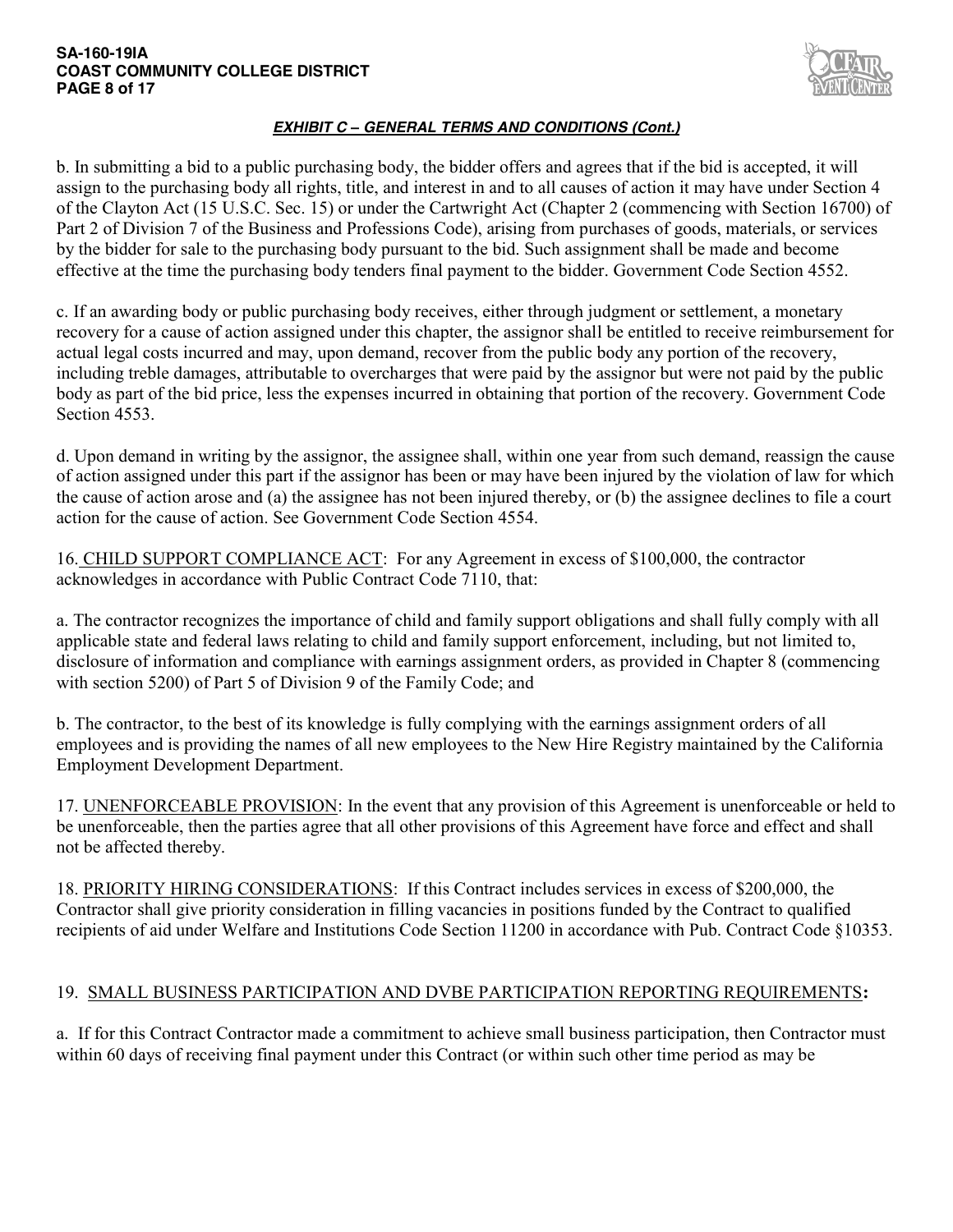### **SA-160-19IA COAST COMMUNITY COLLEGE DISTRICT PAGE 8 of 17**



# *EXHIBIT C – GENERAL TERMS AND CONDITIONS (Cont.)*

b. In submitting a bid to a public purchasing body, the bidder offers and agrees that if the bid is accepted, it will assign to the purchasing body all rights, title, and interest in and to all causes of action it may have under Section 4 of the Clayton Act (15 U.S.C. Sec. 15) or under the Cartwright Act (Chapter 2 (commencing with Section 16700) of Part 2 of Division 7 of the Business and Professions Code), arising from purchases of goods, materials, or services by the bidder for sale to the purchasing body pursuant to the bid. Such assignment shall be made and become effective at the time the purchasing body tenders final payment to the bidder. Government Code Section 4552.

c. If an awarding body or public purchasing body receives, either through judgment or settlement, a monetary recovery for a cause of action assigned under this chapter, the assignor shall be entitled to receive reimbursement for actual legal costs incurred and may, upon demand, recover from the public body any portion of the recovery, including treble damages, attributable to overcharges that were paid by the assignor but were not paid by the public body as part of the bid price, less the expenses incurred in obtaining that portion of the recovery. Government Code Section 4553.

d. Upon demand in writing by the assignor, the assignee shall, within one year from such demand, reassign the cause of action assigned under this part if the assignor has been or may have been injured by the violation of law for which the cause of action arose and (a) the assignee has not been injured thereby, or (b) the assignee declines to file a court action for the cause of action. See Government Code Section 4554.

16. CHILD SUPPORT COMPLIANCE ACT:For any Agreement in excess of \$100,000, the contractor acknowledges in accordance with Public Contract Code 7110, that:

a. The contractor recognizes the importance of child and family support obligations and shall fully comply with all applicable state and federal laws relating to child and family support enforcement, including, but not limited to, disclosure of information and compliance with earnings assignment orders, as provided in Chapter 8 (commencing with section 5200) of Part 5 of Division 9 of the Family Code; and

b. The contractor, to the best of its knowledge is fully complying with the earnings assignment orders of all employees and is providing the names of all new employees to the New Hire Registry maintained by the California Employment Development Department.

17. UNENFORCEABLE PROVISION: In the event that any provision of this Agreement is unenforceable or held to be unenforceable, then the parties agree that all other provisions of this Agreement have force and effect and shall not be affected thereby.

18. PRIORITY HIRING CONSIDERATIONS: If this Contract includes services in excess of \$200,000, the Contractor shall give priority consideration in filling vacancies in positions funded by the Contract to qualified recipients of aid under Welfare and Institutions Code Section 11200 in accordance with Pub. Contract Code §10353.

# 19. SMALL BUSINESS PARTICIPATION AND DVBE PARTICIPATION REPORTING REQUIREMENTS**:**

a. If for this Contract Contractor made a commitment to achieve small business participation, then Contractor must within 60 days of receiving final payment under this Contract (or within such other time period as may be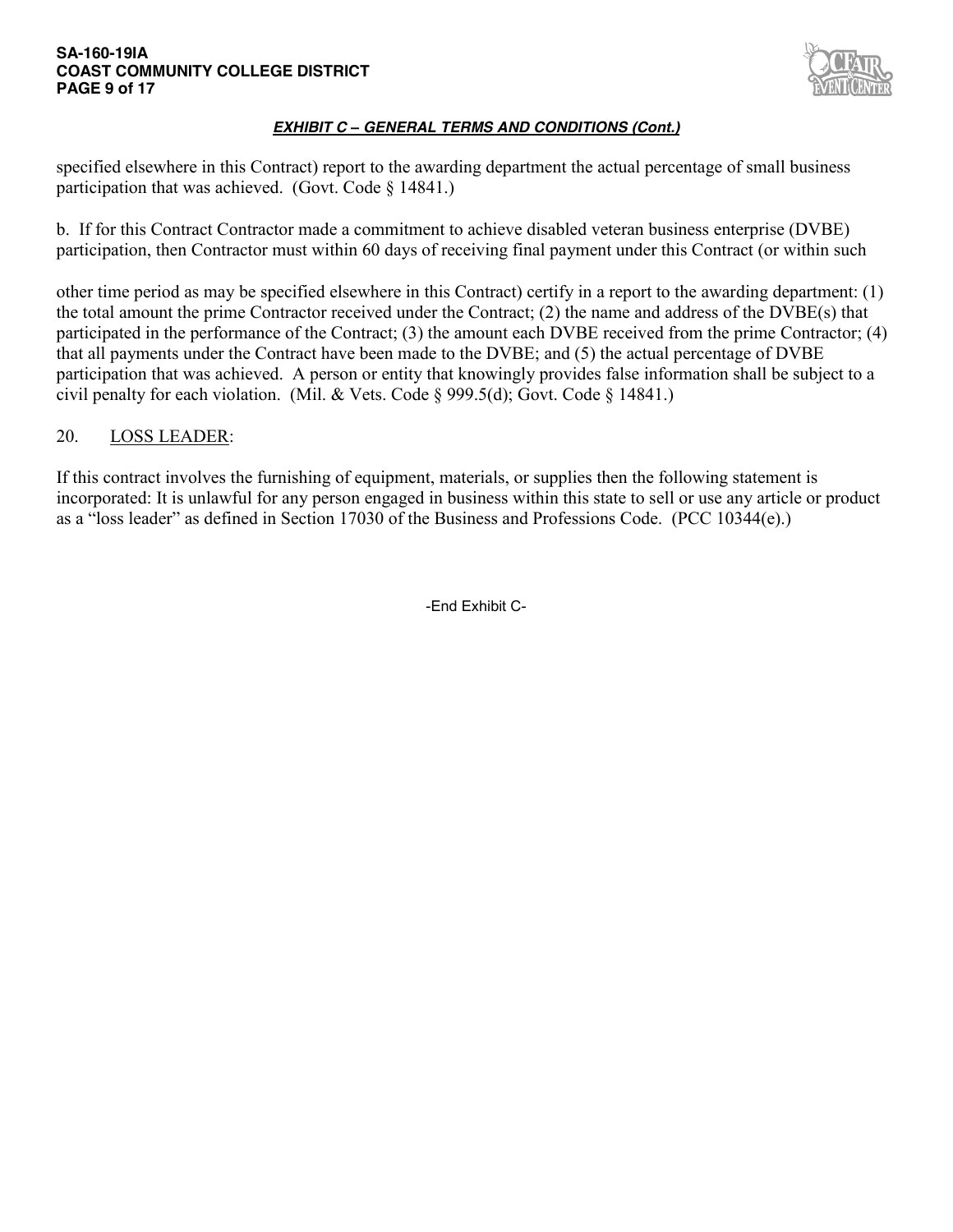### **SA-160-19IA COAST COMMUNITY COLLEGE DISTRICT PAGE 9 of 17**



# *EXHIBIT C – GENERAL TERMS AND CONDITIONS (Cont.)*

specified elsewhere in this Contract) report to the awarding department the actual percentage of small business participation that was achieved. (Govt. Code § 14841.)

b. If for this Contract Contractor made a commitment to achieve disabled veteran business enterprise (DVBE) participation, then Contractor must within 60 days of receiving final payment under this Contract (or within such

other time period as may be specified elsewhere in this Contract) certify in a report to the awarding department: (1) the total amount the prime Contractor received under the Contract; (2) the name and address of the DVBE(s) that participated in the performance of the Contract; (3) the amount each DVBE received from the prime Contractor; (4) that all payments under the Contract have been made to the DVBE; and (5) the actual percentage of DVBE participation that was achieved. A person or entity that knowingly provides false information shall be subject to a civil penalty for each violation. (Mil. & Vets. Code § 999.5(d); Govt. Code § 14841.)

# 20. LOSS LEADER:

If this contract involves the furnishing of equipment, materials, or supplies then the following statement is incorporated: It is unlawful for any person engaged in business within this state to sell or use any article or product as a "loss leader" as defined in Section 17030 of the Business and Professions Code. (PCC 10344(e).)

-End Exhibit C-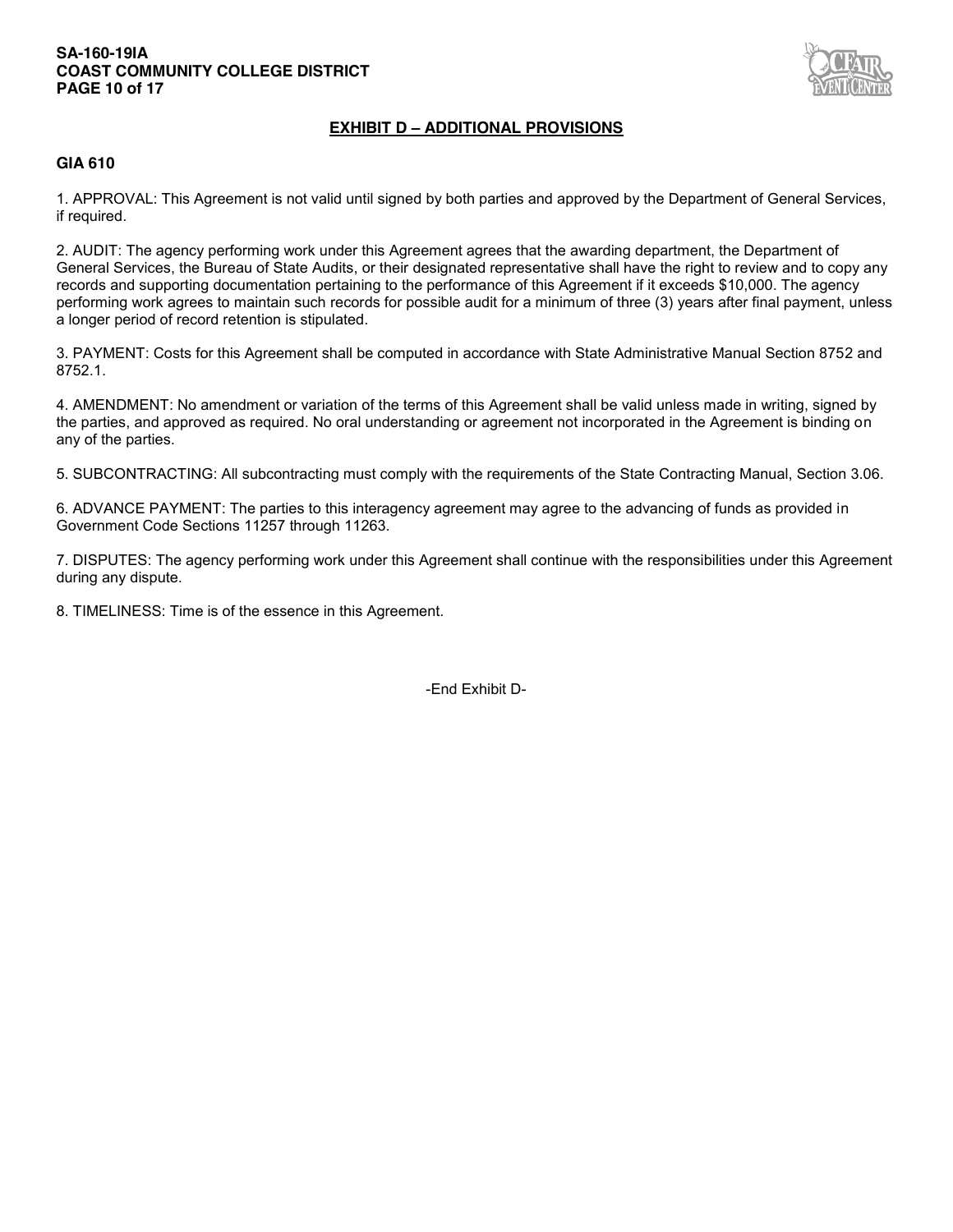### **SA-160-19IA COAST COMMUNITY COLLEGE DISTRICT PAGE 10 of 17**



## **EXHIBIT D – ADDITIONAL PROVISIONS**

### **GIA 610**

1. APPROVAL: This Agreement is not valid until signed by both parties and approved by the Department of General Services, if required.

2. AUDIT: The agency performing work under this Agreement agrees that the awarding department, the Department of General Services, the Bureau of State Audits, or their designated representative shall have the right to review and to copy any records and supporting documentation pertaining to the performance of this Agreement if it exceeds \$10,000. The agency performing work agrees to maintain such records for possible audit for a minimum of three (3) years after final payment, unless a longer period of record retention is stipulated.

3. PAYMENT: Costs for this Agreement shall be computed in accordance with State Administrative Manual Section 8752 and 8752.1.

4. AMENDMENT: No amendment or variation of the terms of this Agreement shall be valid unless made in writing, signed by the parties, and approved as required. No oral understanding or agreement not incorporated in the Agreement is binding on any of the parties.

5. SUBCONTRACTING: All subcontracting must comply with the requirements of the State Contracting Manual, Section 3.06.

6. ADVANCE PAYMENT: The parties to this interagency agreement may agree to the advancing of funds as provided in Government Code Sections 11257 through 11263.

7. DISPUTES: The agency performing work under this Agreement shall continue with the responsibilities under this Agreement during any dispute.

8. TIMELINESS: Time is of the essence in this Agreement.

-End Exhibit D-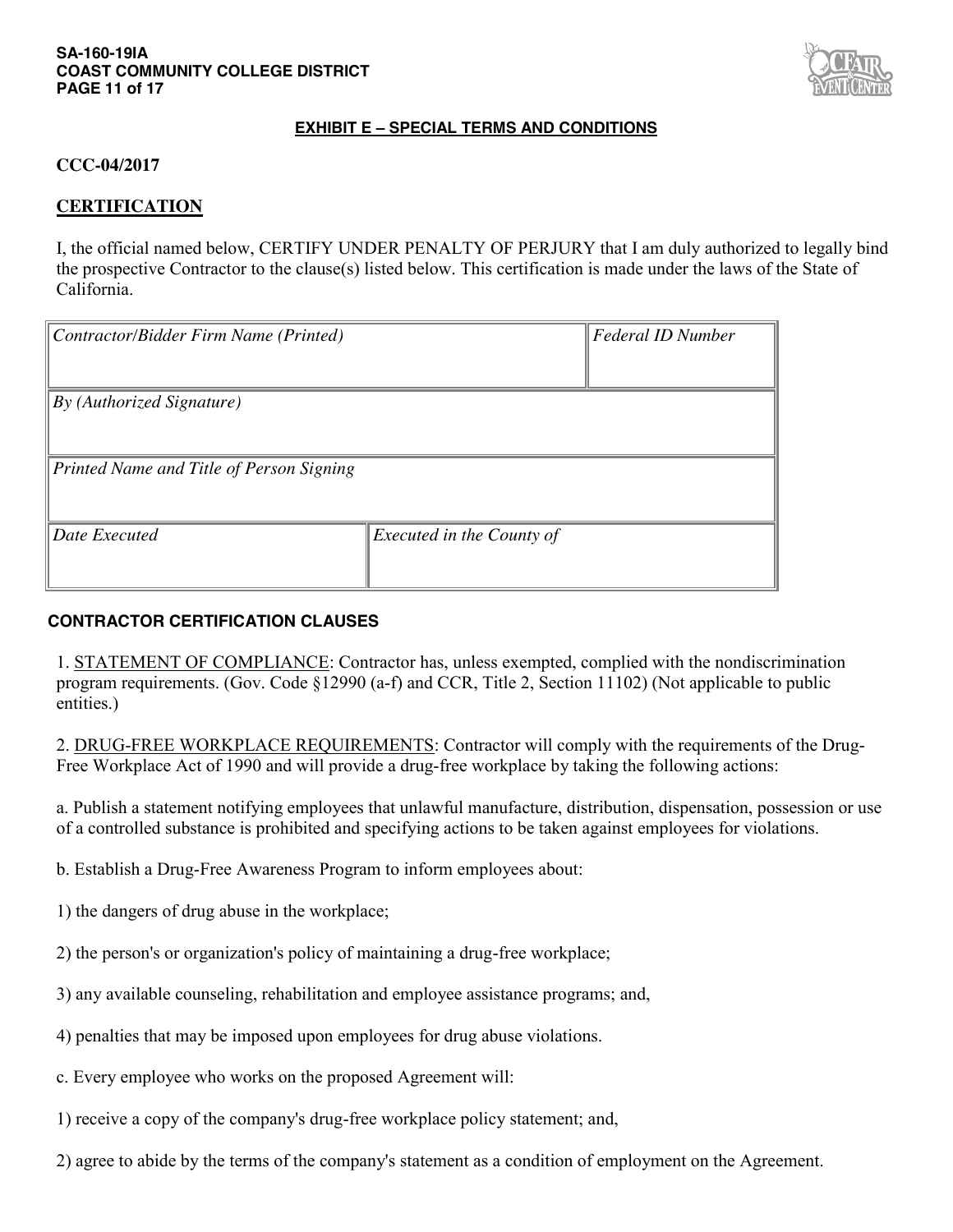### **SA-160-19IA COAST COMMUNITY COLLEGE DISTRICT PAGE 11 of 17**



# **EXHIBIT E – SPECIAL TERMS AND CONDITIONS**

# **CCC-04/2017**

## **CERTIFICATION**

I, the official named below, CERTIFY UNDER PENALTY OF PERJURY that I am duly authorized to legally bind the prospective Contractor to the clause(s) listed below. This certification is made under the laws of the State of California.

| Contractor/Bidder Firm Name (Printed)    |                           | <b>Federal ID Number</b> |  |  |  |
|------------------------------------------|---------------------------|--------------------------|--|--|--|
|                                          |                           |                          |  |  |  |
| By (Authorized Signature)                |                           |                          |  |  |  |
|                                          |                           |                          |  |  |  |
| Printed Name and Title of Person Signing |                           |                          |  |  |  |
|                                          |                           |                          |  |  |  |
| Date Executed                            | Executed in the County of |                          |  |  |  |
|                                          |                           |                          |  |  |  |

## **CONTRACTOR CERTIFICATION CLAUSES**

1. STATEMENT OF COMPLIANCE: Contractor has, unless exempted, complied with the nondiscrimination program requirements. (Gov. Code §12990 (a-f) and CCR, Title 2, Section 11102) (Not applicable to public entities.)

2. DRUG-FREE WORKPLACE REQUIREMENTS: Contractor will comply with the requirements of the Drug-Free Workplace Act of 1990 and will provide a drug-free workplace by taking the following actions:

a. Publish a statement notifying employees that unlawful manufacture, distribution, dispensation, possession or use of a controlled substance is prohibited and specifying actions to be taken against employees for violations.

b. Establish a Drug-Free Awareness Program to inform employees about:

- 1) the dangers of drug abuse in the workplace;
- 2) the person's or organization's policy of maintaining a drug-free workplace;
- 3) any available counseling, rehabilitation and employee assistance programs; and,
- 4) penalties that may be imposed upon employees for drug abuse violations.
- c. Every employee who works on the proposed Agreement will:
- 1) receive a copy of the company's drug-free workplace policy statement; and,
- 2) agree to abide by the terms of the company's statement as a condition of employment on the Agreement.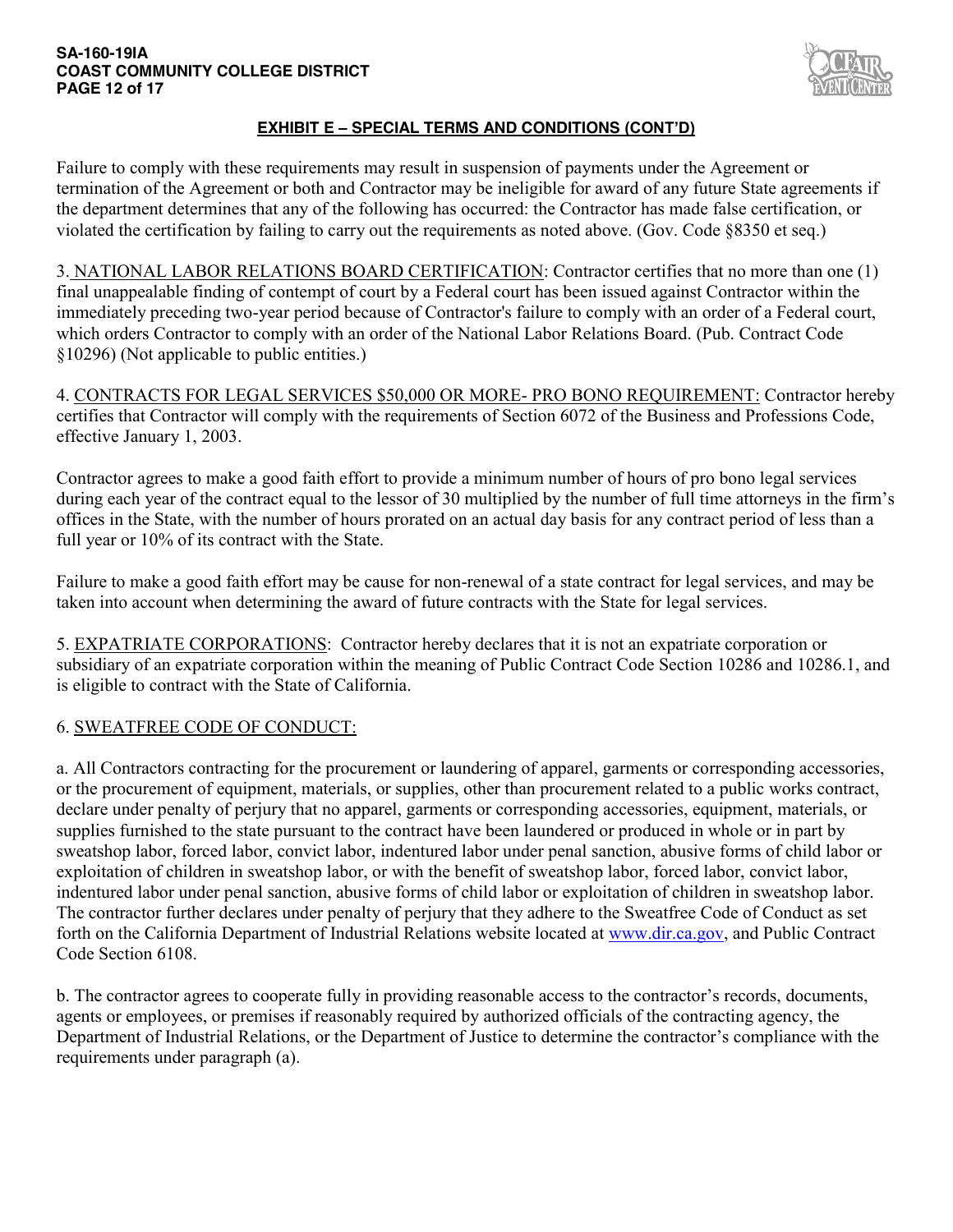### **SA-160-19IA COAST COMMUNITY COLLEGE DISTRICT PAGE 12 of 17**



# **EXHIBIT E – SPECIAL TERMS AND CONDITIONS (CONT'D)**

Failure to comply with these requirements may result in suspension of payments under the Agreement or termination of the Agreement or both and Contractor may be ineligible for award of any future State agreements if the department determines that any of the following has occurred: the Contractor has made false certification, or violated the certification by failing to carry out the requirements as noted above. (Gov. Code §8350 et seq.)

3. NATIONAL LABOR RELATIONS BOARD CERTIFICATION: Contractor certifies that no more than one (1) final unappealable finding of contempt of court by a Federal court has been issued against Contractor within the immediately preceding two-year period because of Contractor's failure to comply with an order of a Federal court, which orders Contractor to comply with an order of the National Labor Relations Board. (Pub. Contract Code §10296) (Not applicable to public entities.)

4. CONTRACTS FOR LEGAL SERVICES \$50,000 OR MORE- PRO BONO REQUIREMENT: Contractor hereby certifies that Contractor will comply with the requirements of Section 6072 of the Business and Professions Code, effective January 1, 2003.

Contractor agrees to make a good faith effort to provide a minimum number of hours of pro bono legal services during each year of the contract equal to the lessor of 30 multiplied by the number of full time attorneys in the firm's offices in the State, with the number of hours prorated on an actual day basis for any contract period of less than a full year or 10% of its contract with the State.

Failure to make a good faith effort may be cause for non-renewal of a state contract for legal services, and may be taken into account when determining the award of future contracts with the State for legal services.

5. EXPATRIATE CORPORATIONS: Contractor hereby declares that it is not an expatriate corporation or subsidiary of an expatriate corporation within the meaning of Public Contract Code Section 10286 and 10286.1, and is eligible to contract with the State of California.

# 6. SWEATFREE CODE OF CONDUCT:

a. All Contractors contracting for the procurement or laundering of apparel, garments or corresponding accessories, or the procurement of equipment, materials, or supplies, other than procurement related to a public works contract, declare under penalty of perjury that no apparel, garments or corresponding accessories, equipment, materials, or supplies furnished to the state pursuant to the contract have been laundered or produced in whole or in part by sweatshop labor, forced labor, convict labor, indentured labor under penal sanction, abusive forms of child labor or exploitation of children in sweatshop labor, or with the benefit of sweatshop labor, forced labor, convict labor, indentured labor under penal sanction, abusive forms of child labor or exploitation of children in sweatshop labor. The contractor further declares under penalty of perjury that they adhere to the Sweatfree Code of Conduct as set forth on the California Department of Industrial Relations website located at www.dir.ca.gov, and Public Contract Code Section 6108.

b. The contractor agrees to cooperate fully in providing reasonable access to the contractor's records, documents, agents or employees, or premises if reasonably required by authorized officials of the contracting agency, the Department of Industrial Relations, or the Department of Justice to determine the contractor's compliance with the requirements under paragraph (a).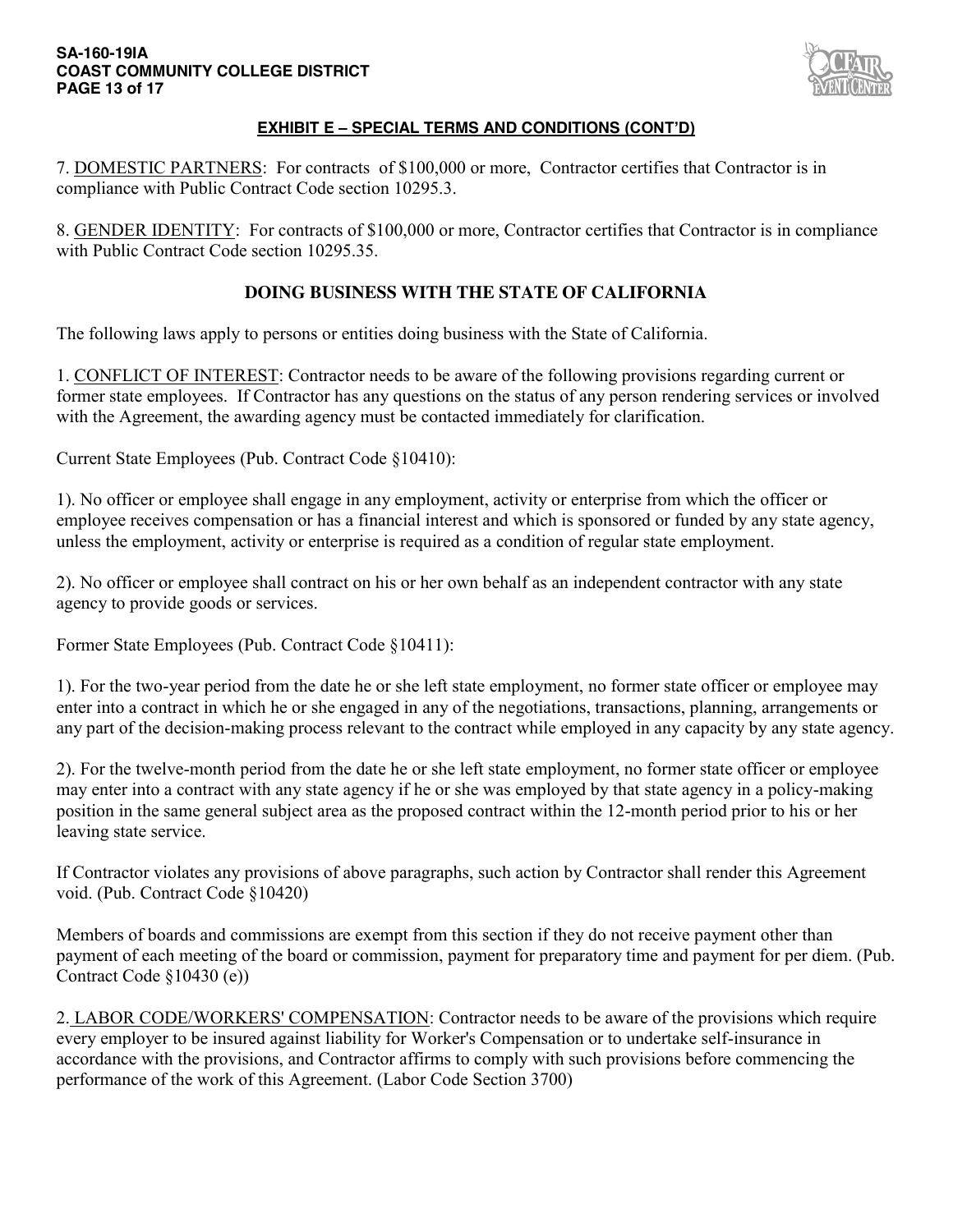### **SA-160-19IA COAST COMMUNITY COLLEGE DISTRICT PAGE 13 of 17**



# **EXHIBIT E – SPECIAL TERMS AND CONDITIONS (CONT'D)**

7. DOMESTIC PARTNERS: For contracts of \$100,000 or more, Contractor certifies that Contractor is in compliance with Public Contract Code section 10295.3.

8. GENDER IDENTITY: For contracts of \$100,000 or more, Contractor certifies that Contractor is in compliance with Public Contract Code section 10295.35.

# **DOING BUSINESS WITH THE STATE OF CALIFORNIA**

The following laws apply to persons or entities doing business with the State of California.

1. CONFLICT OF INTEREST: Contractor needs to be aware of the following provisions regarding current or former state employees. If Contractor has any questions on the status of any person rendering services or involved with the Agreement, the awarding agency must be contacted immediately for clarification.

Current State Employees (Pub. Contract Code §10410):

1). No officer or employee shall engage in any employment, activity or enterprise from which the officer or employee receives compensation or has a financial interest and which is sponsored or funded by any state agency, unless the employment, activity or enterprise is required as a condition of regular state employment.

2). No officer or employee shall contract on his or her own behalf as an independent contractor with any state agency to provide goods or services.

Former State Employees (Pub. Contract Code §10411):

1). For the two-year period from the date he or she left state employment, no former state officer or employee may enter into a contract in which he or she engaged in any of the negotiations, transactions, planning, arrangements or any part of the decision-making process relevant to the contract while employed in any capacity by any state agency.

2). For the twelve-month period from the date he or she left state employment, no former state officer or employee may enter into a contract with any state agency if he or she was employed by that state agency in a policy-making position in the same general subject area as the proposed contract within the 12-month period prior to his or her leaving state service.

If Contractor violates any provisions of above paragraphs, such action by Contractor shall render this Agreement void. (Pub. Contract Code §10420)

Members of boards and commissions are exempt from this section if they do not receive payment other than payment of each meeting of the board or commission, payment for preparatory time and payment for per diem. (Pub. Contract Code §10430 (e))

2. LABOR CODE/WORKERS' COMPENSATION: Contractor needs to be aware of the provisions which require every employer to be insured against liability for Worker's Compensation or to undertake self-insurance in accordance with the provisions, and Contractor affirms to comply with such provisions before commencing the performance of the work of this Agreement. (Labor Code Section 3700)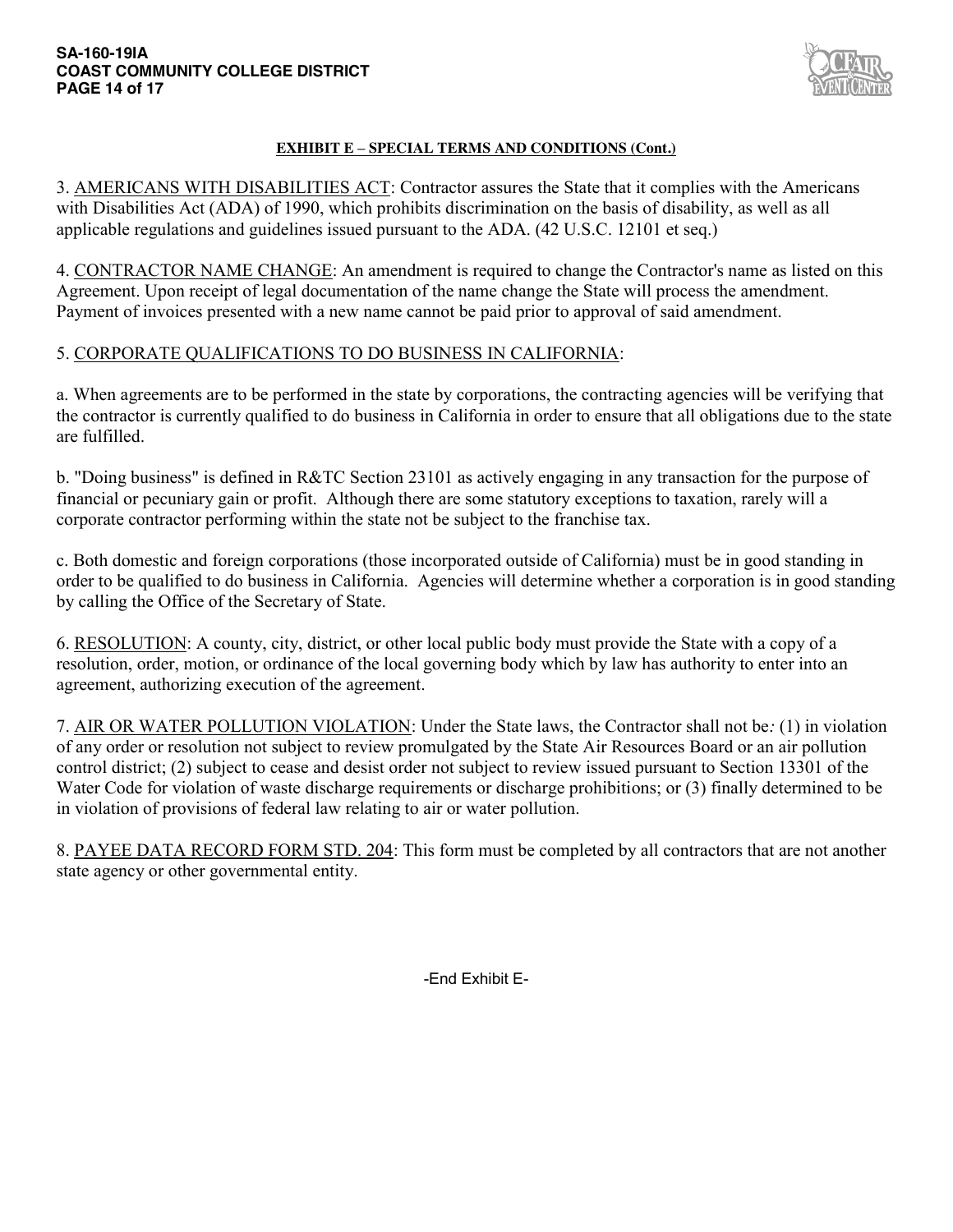

# **EXHIBIT E – SPECIAL TERMS AND CONDITIONS (Cont.)**

3. AMERICANS WITH DISABILITIES ACT: Contractor assures the State that it complies with the Americans with Disabilities Act (ADA) of 1990, which prohibits discrimination on the basis of disability, as well as all applicable regulations and guidelines issued pursuant to the ADA. (42 U.S.C. 12101 et seq.)

4. CONTRACTOR NAME CHANGE: An amendment is required to change the Contractor's name as listed on this Agreement. Upon receipt of legal documentation of the name change the State will process the amendment. Payment of invoices presented with a new name cannot be paid prior to approval of said amendment.

# 5. CORPORATE QUALIFICATIONS TO DO BUSINESS IN CALIFORNIA:

a. When agreements are to be performed in the state by corporations, the contracting agencies will be verifying that the contractor is currently qualified to do business in California in order to ensure that all obligations due to the state are fulfilled.

b. "Doing business" is defined in R&TC Section 23101 as actively engaging in any transaction for the purpose of financial or pecuniary gain or profit. Although there are some statutory exceptions to taxation, rarely will a corporate contractor performing within the state not be subject to the franchise tax.

c. Both domestic and foreign corporations (those incorporated outside of California) must be in good standing in order to be qualified to do business in California. Agencies will determine whether a corporation is in good standing by calling the Office of the Secretary of State.

6. RESOLUTION: A county, city, district, or other local public body must provide the State with a copy of a resolution, order, motion, or ordinance of the local governing body which by law has authority to enter into an agreement, authorizing execution of the agreement.

7. AIR OR WATER POLLUTION VIOLATION: Under the State laws, the Contractor shall not be*:* (1) in violation of any order or resolution not subject to review promulgated by the State Air Resources Board or an air pollution control district; (2) subject to cease and desist order not subject to review issued pursuant to Section 13301 of the Water Code for violation of waste discharge requirements or discharge prohibitions; or (3) finally determined to be in violation of provisions of federal law relating to air or water pollution.

8. PAYEE DATA RECORD FORM STD. 204: This form must be completed by all contractors that are not another state agency or other governmental entity.

-End Exhibit E-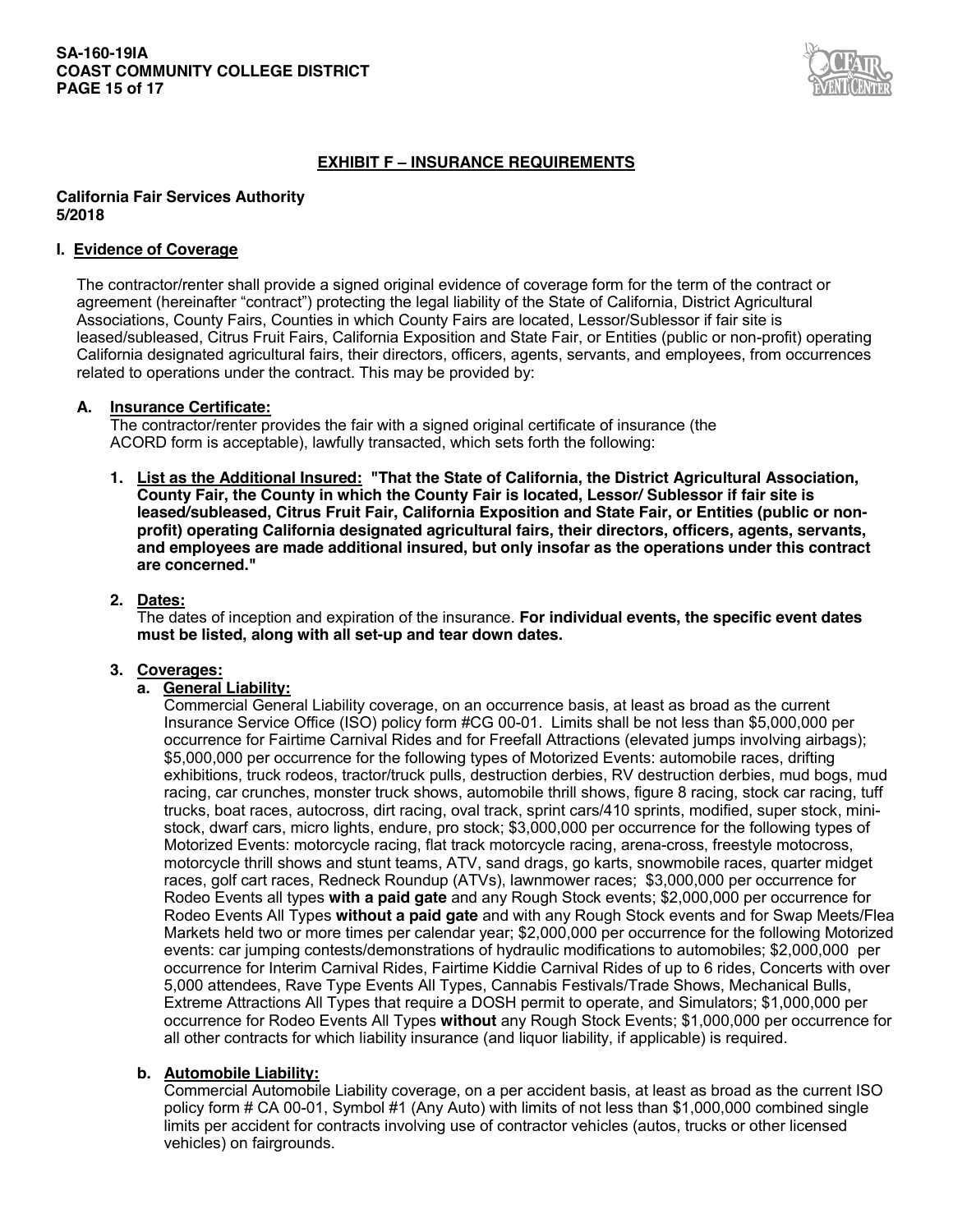

# **EXHIBIT F – INSURANCE REQUIREMENTS**

#### **California Fair Services Authority 5/2018**

#### **I. Evidence of Coverage**

The contractor/renter shall provide a signed original evidence of coverage form for the term of the contract or agreement (hereinafter "contract") protecting the legal liability of the State of California, District Agricultural Associations, County Fairs, Counties in which County Fairs are located, Lessor/Sublessor if fair site is leased/subleased, Citrus Fruit Fairs, California Exposition and State Fair, or Entities (public or non-profit) operating California designated agricultural fairs, their directors, officers, agents, servants, and employees, from occurrences related to operations under the contract. This may be provided by:

#### **A. Insurance Certificate:**

The contractor/renter provides the fair with a signed original certificate of insurance (the ACORD form is acceptable), lawfully transacted, which sets forth the following:

**1. List as the Additional Insured: "That the State of California, the District Agricultural Association, County Fair, the County in which the County Fair is located, Lessor/ Sublessor if fair site is leased/subleased, Citrus Fruit Fair, California Exposition and State Fair, or Entities (public or nonprofit) operating California designated agricultural fairs, their directors, officers, agents, servants, and employees are made additional insured, but only insofar as the operations under this contract are concerned."** 

### **2. Dates:**

The dates of inception and expiration of the insurance. **For individual events, the specific event dates must be listed, along with all set-up and tear down dates.** 

### **3. Coverages:**

### **a. General Liability:**

Commercial General Liability coverage, on an occurrence basis, at least as broad as the current Insurance Service Office (ISO) policy form #CG 00-01. Limits shall be not less than \$5,000,000 per occurrence for Fairtime Carnival Rides and for Freefall Attractions (elevated jumps involving airbags); \$5,000,000 per occurrence for the following types of Motorized Events: automobile races, drifting exhibitions, truck rodeos, tractor/truck pulls, destruction derbies, RV destruction derbies, mud bogs, mud racing, car crunches, monster truck shows, automobile thrill shows, figure 8 racing, stock car racing, tuff trucks, boat races, autocross, dirt racing, oval track, sprint cars/410 sprints, modified, super stock, ministock, dwarf cars, micro lights, endure, pro stock; \$3,000,000 per occurrence for the following types of Motorized Events: motorcycle racing, flat track motorcycle racing, arena-cross, freestyle motocross, motorcycle thrill shows and stunt teams, ATV, sand drags, go karts, snowmobile races, quarter midget races, golf cart races, Redneck Roundup (ATVs), lawnmower races; \$3,000,000 per occurrence for Rodeo Events all types **with a paid gate** and any Rough Stock events; \$2,000,000 per occurrence for Rodeo Events All Types **without a paid gate** and with any Rough Stock events and for Swap Meets/Flea Markets held two or more times per calendar year; \$2,000,000 per occurrence for the following Motorized events: car jumping contests/demonstrations of hydraulic modifications to automobiles; \$2,000,000 per occurrence for Interim Carnival Rides, Fairtime Kiddie Carnival Rides of up to 6 rides, Concerts with over 5,000 attendees, Rave Type Events All Types, Cannabis Festivals/Trade Shows, Mechanical Bulls, Extreme Attractions All Types that require a DOSH permit to operate, and Simulators; \$1,000,000 per occurrence for Rodeo Events All Types **without** any Rough Stock Events; \$1,000,000 per occurrence for all other contracts for which liability insurance (and liquor liability, if applicable) is required.

### **b. Automobile Liability:**

Commercial Automobile Liability coverage, on a per accident basis, at least as broad as the current ISO policy form # CA 00-01, Symbol #1 (Any Auto) with limits of not less than \$1,000,000 combined single limits per accident for contracts involving use of contractor vehicles (autos, trucks or other licensed vehicles) on fairgrounds.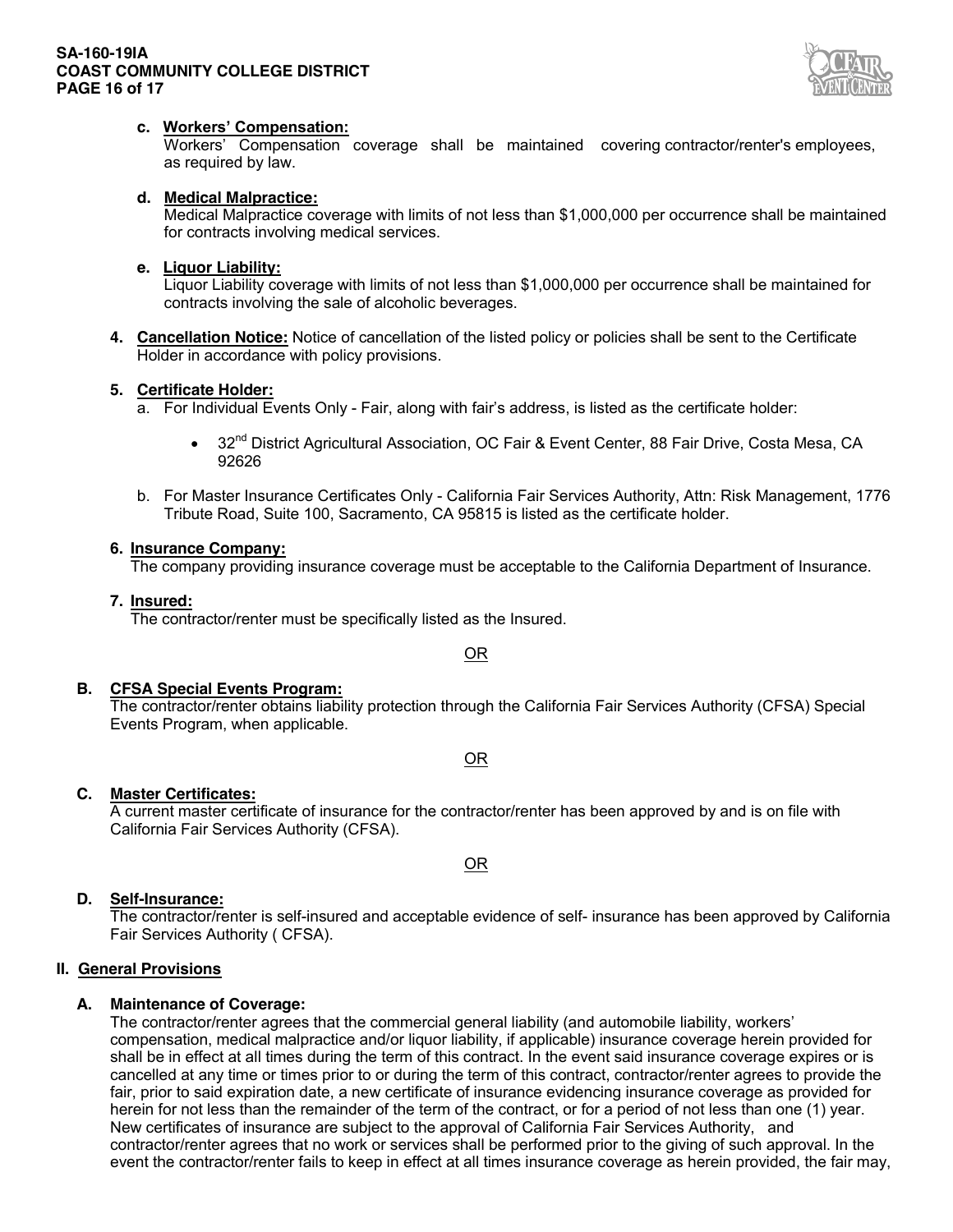### **SA-160-19IA COAST COMMUNITY COLLEGE DISTRICT PAGE 16 of 17**



### **c. Workers' Compensation:**

Workers' Compensation coverage shall be maintained covering contractor/renter's employees, as required by law.

### **d. Medical Malpractice:**

Medical Malpractice coverage with limits of not less than \$1,000,000 per occurrence shall be maintained for contracts involving medical services.

#### **e. Liquor Liability:**

Liquor Liability coverage with limits of not less than \$1,000,000 per occurrence shall be maintained for contracts involving the sale of alcoholic beverages.

**4. Cancellation Notice:** Notice of cancellation of the listed policy or policies shall be sent to the Certificate Holder in accordance with policy provisions.

#### **5. Certificate Holder:**

a. For Individual Events Only - Fair, along with fair's address, is listed as the certificate holder:

- 32<sup>nd</sup> District Agricultural Association, OC Fair & Event Center, 88 Fair Drive, Costa Mesa, CA 92626
- b. For Master Insurance Certificates Only California Fair Services Authority, Attn: Risk Management, 1776 Tribute Road, Suite 100, Sacramento, CA 95815 is listed as the certificate holder.

### **6. Insurance Company:**

The company providing insurance coverage must be acceptable to the California Department of Insurance.

#### **7. Insured:**

The contractor/renter must be specifically listed as the Insured.

### OR

### **B. CFSA Special Events Program:**

The contractor/renter obtains liability protection through the California Fair Services Authority (CFSA) Special Events Program, when applicable.

OR

# **C. Master Certificates:**

A current master certificate of insurance for the contractor/renter has been approved by and is on file with California Fair Services Authority (CFSA).

OR

### **D. Self-Insurance:**

The contractor/renter is self-insured and acceptable evidence of self- insurance has been approved by California Fair Services Authority ( CFSA).

### **II. General Provisions**

### **A. Maintenance of Coverage:**

The contractor/renter agrees that the commercial general liability (and automobile liability, workers' compensation, medical malpractice and/or liquor liability, if applicable) insurance coverage herein provided for shall be in effect at all times during the term of this contract. In the event said insurance coverage expires or is cancelled at any time or times prior to or during the term of this contract, contractor/renter agrees to provide the fair, prior to said expiration date, a new certificate of insurance evidencing insurance coverage as provided for herein for not less than the remainder of the term of the contract, or for a period of not less than one (1) year. New certificates of insurance are subject to the approval of California Fair Services Authority, and contractor/renter agrees that no work or services shall be performed prior to the giving of such approval. In the event the contractor/renter fails to keep in effect at all times insurance coverage as herein provided, the fair may,